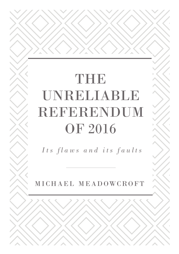# THE UNRELIABLE REFERENDUM OF 2016

*Its flaws and its faults*

MICHAEL MEADOWCROFT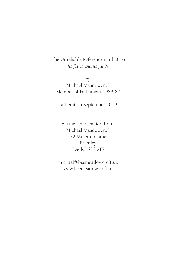The Unreliable Referendum of 2016 Its flaws and its faults

by Michael Meadowcroft Member of Parliament 1983-87

3rd edition September 2019

Further information from: Michael Meadowcroft 72 Waterloo Lane Bramley Leeds LS13 2JF

michael@beemeadowcroft.uk www.beemeadowcroft.uk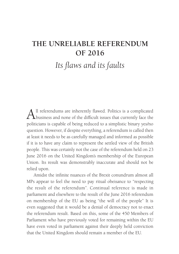# **THE UNRELIABLE REFERENDUM OF 2016**

Its flaws and its faults

All referendums are inherently flawed. Politics is a complicated business and none of the difficult issues that currently face the politicians is capable of being reduced to a simplistic binary yes/no question. However, if despite everything, a referendum is called then at least it needs to be as carefully managed and informed as possible if it is to have any claim to represent the settled view of the British people. This was certainly not the case of the referendum held on 23 June 2016 on the United Kingdom's membership of the European Union. Its result was demonstrably inaccurate and should not be relied upon.

Amidst the infinite nuances of the Brexit conundrum almost all MPs appear to feel the need to pay ritual obeisance to "respecting the result of the referendum". Continual reference is made in parliament and elsewhere to the result of the June 2016 referendum on membership of the EU as being "the will of the people" It is even suggested that it would be a denial of democracy not to enact the referendum result. Based on this, some of the 450 Members of Parliament who have previously voted for remaining within the EU have even voted in parliament against their deeply held conviction that the United Kingdom should remain a member of the EU.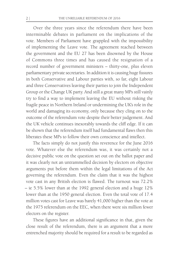Over the three years since the referendum there have been interminable debates in parliament on the implications of the vote. Members of Parliament have grappled with the impossibility of implementing the Leave vote. The agreement reached between the government and the EU 27 has been disowned by the House of Commons three times and has caused the resignation of a record number of government ministers – thirty-one, plus eleven parliamentary private secretaries. In addition it is causing huge fissures in both Conservative and Labour parties with, so far, eight Labour and three Conservatives leaving their parties to join the Independent Group or the Change UK party. And still a great many MPs still vainly try to find a way to implement leaving the EU without risking the fragile peace in Northern Ireland or undermining the UK's role in the world and damaging its economy, only because they cling on to the outcome of the referendum vote despite their better judgement. And the UK vehicle continues inexorably towards the cliff edge. If it can be shown that the referendum itself had fundamental flaws then this liberates these MPs to follow their own conscience and intellect.

The facts simply do not justify this reverence for the June 2016 vote. Whatever else the referendum was, it was certainly not a decisive public vote on the question set out on the ballot paper and it was clearly not an untrammelled decision by electors on objective arguments put before them within the legal limitations of the Act governing the referendum. Even the claim that it was the highest vote cast in any British election is flawed. The turnout was 72.2% – ie 5.5% lower than at the 1992 general election and a huge 12% lower than at the 1950 general election. Even the total vote of 17.4 million votes cast for Leave was barely 41,000 higher than the vote at the 1975 referendum on the EEC, when there were six million fewer electors on the register.

These figures have an additional significance in that, given the close result of the referendum, there is an argument that a more entrenched majority should be required for a result to be regarded as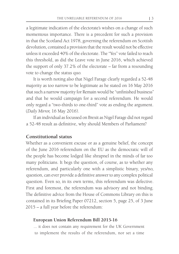a legitimate indication of the electorate's wishes on a change of such momentous importance. There is a precedent for such a provision in that the Scotland Act 1978, governing the referendum on Scottish devolution, contained a provision that the result would not be effective unless it exceeded 40% of the electorate. The "Yes" vote failed to reach this threshold, as did the Leave vote in June 2016, which achieved the support of only 37.2% of the electorate – far from a resounding vote to change the status quo.

It is worth noting also that Nigel Farage clearly regarded a 52-48 majority as too narrow to be legitimate as he stated on 16 May 2016 that such a narrow majority for Remain would be "unfinished business" and that he would campaign for a second referendum. He would only regard a "two-thirds to one-third" vote as ending the argument. (*Daily Mirror,* 16 May 2016).

If an individual as focussed on Brexit as Nigel Farage did not regard a 52-48 result as definitive, why should Members of Parliament?

#### **Constitutional status**

Whether as a convenient excuse or as a genuine belief, the concept of the June 2016 referendum on the EU as the democratic will of the people has become lodged like shrapnel in the minds of far too many politicians. It begs the question, of course, as to whether any referendum, and particularly one with a simplistic binary, yes/no, question, can ever provide a definitive answer to any complex political question. Even so, in its own terms, this referendum was defective. First and foremost, the referendum was advisory and not binding. The definitive advice from the House of Commons Library on this is contained in its Briefing Paper 07212, section 5, page 25, of 3 June 2015 – a full year before the referendum:

#### **European Union Referendum Bill 2015-16**

... it does not contain any requirement for the UK Government to implement the results of the referendum, nor set a time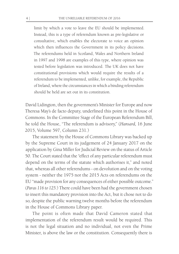limit by which a vote to leave the EU should be implemented. Instead, this is a type of referendum known as pre-legislative or consultative, which enables the electorate to voice an opinion which then influences the Government in its policy decisions. The referendums held in Scotland, Wales and Northern Ireland in 1997 and 1998 are examples of this type, where opinion was tested before legislation was introduced. The UK does not have constitutional provisions which would require the results of a referendum to be implemented, unlike, for example, the Republic of Ireland, where the circumstances in which a binding referendum should be held are set out in its constitution.

David Lidington, then the government's Minister for Europe and now Theresa May's de facto deputy, underlined this point in the House of Commons. In the Committee Stage of the European Referendum Bill, he told the House, "The referendum is advisory," (*Hansard,* 16 June 2015, Volume 597, Column 231.)

The statement by the House of Commons Library was backed up by the Supreme Court in its judgement of 24 January 2017 on the application by Gina Miller for Judicial Review on the status of Article 50. The Court stated that the "effect of any particular referendum must depend on the terms of the statute which authorises it," and noted that, whereas all other referendums - on devolution and on the voting system - neither the 1975 nor the 2015 Acts on referendums on the EU "made provision for any consequences of either possible outcome." (*Paras 116 to 125.*) There could have been had the government chosen to insert this mandatory provision into the Act, but it chose not to do so, despite the public warning twelve months before the referendum in the House of Commons Library paper.

The point is often made that David Cameron stated that implementation of the referendum result would be required. This is not the legal situation and no individual, not even the Prime Minister, is above the law or the constitution. Consequently there is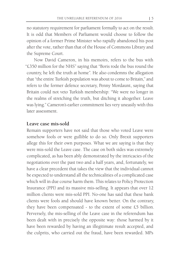no statutory requirement for parliament formally to act on the result. It is odd that Members of Parliament would choose to follow the opinion of a former Prime Minister who rapidly abandoned his post after the vote, rather than that of the House of Commons Library and the Supreme Court.

Now David Cameron, in his memoirs, refers to the bus with "£350 million for the NHS" saying that "Boris rode the bus round the country, he left the truth at home". He also condemns the allegation that "the entire Turkish population was about to come to Britain," and refers to the former defence secretary, Penny Mordaunt, saying that Britain could not veto Turkish membership: "We were no longer in the realms of stretching the truth, but ditching it altogether. Leave was lying." Cameron's earlier commitment lies very uneasily with this later assessment.

#### **Leave case mis-sold**

Remain supporters have not said that those who voted Leave were somehow fools or were gullible to do so. Only Brexit supporters allege this for their own purposes. What we are saying is that they were mis-sold the Leave case. The case on both sides was extremely complicated, as has been ably demonstrated by the intricacies of the negotiations over the past two and a half years, and, fortunately, we have a clear precedent that takes the view that the individual cannot be expected to understand all the technicalities of a complicated case which will in due course harm them. This relates to Policy Protection Insurance (PPI) and its massive mis-selling. It appears that over 12 million clients were mis-sold PPI. No-one has said that these bank clients were fools and should have known better. On the contrary, they have been compensated - to the extent of some £5 billion. Perversely, the mis-selling of the Leave case in the referendum has been dealt with in precisely the opposite way: those harmed by it have been rewarded by having an illegitimate result accepted, and the culprits, who carried out the fraud, have been rewarded. MPs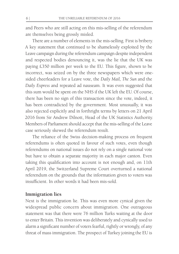and Peers who are still acting on this mis-selling of the referendum are themselves being grossly misled.

There are a number of elements in the mis-selling. First is bribery. A key statement that continued to be shamelessly exploited by the Leave campaign during the referendum campaign despite independent and respected bodies denouncing it, was the lie that the UK was paying £350 million per week to the EU. This figure, shown to be incorrect, was seized on by the three newspapers which were onesided cheerleaders for a Leave vote, the *Daily Mail, The Sun* and the *Daily Express* and repeated ad nauseam. It was even suggested that this sum would be spent on the NHS if the UK left the EU. Of course, there has been no sign of this transaction since the vote, indeed, it has been contradicted by the government. Most unusually, it was also rejected explicitly and in forthright terms by letters on 21 April 2016 from Sir Andrew Dilnott, Head of the UK Statistics Authority. Members of Parliament should accept that the mis-selling of the Leave case seriously skewed the referendum result.

The reliance of the Swiss decision-making process on frequent referendums is often quoted in favour of such votes, even though referendums on national issues do not rely on a single national vote but have to obtain a separate majority in each major canton. Even taking this qualification into account is not enough and, on 11th April 2019, the Switzerland Supreme Court overturned a national referendum on the grounds that the information given to voters was insufficient. In other words it had been mis-sold.

#### **Immigration lies**

Next is the immigration lie. This was even more cynical given the widespread public concern about immigration. One outrageous statement was that there were 76 million Turks waiting at the door to enter Britain. This invention was deliberately and cynically used to alarm a significant number of voters fearful, rightly or wrongly, of any threat of mass immigration. The prospect of Turkey joining the EU is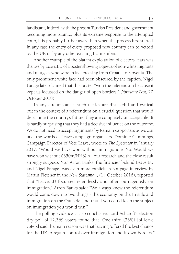far distant, indeed, with the present Turkish President and government becoming more Islamic, plus its extreme response to the attempted coup, it is probably further away than when the process first started. In any case the entry of every proposed new country can be vetoed by the UK or by any other existing EU member.

Another example of the blatant exploitation of electors' fears was the use by Leave.EU of a poster showing a queue of non-white migrants and refugees who were in fact crossing from Croatia to Slovenia. The only prominent white face had been obscured by the caption. Nigel Farage later claimed that this poster "won the referendum because it kept us focussed on the danger of open borders," (*Yorkshire Post,* 20 October 2018).

In any circumstances such tactics are distasteful and cynical but in the context of a referendum on a crucial question that would determine the country's future, they are completely unacceptable. It is hardly surprising that they had a decisive influence on the outcome. We do not need to accept arguments by Remain supporters as we can take the words of Leave campaign organisers. Dominic Cummings, Campaign Director of Vote Leave, wrote in *The Spectator* in January 2017: "Would we have won without immigration? No. Would we have won without £350m/NHS? All our research and the close result strongly suggests No." Arron Banks, the financier behind Leave.EU and Nigel Farage, was even more explicit. A six page interview by Martin Fletcher in the *New Statesman*, (14 October 2016), reported that "Leave.EU focussed relentlessly and often outrageously on immigration." Arron Banks said: "We always knew the referendum would come down to two things - the economy on the In side and immigration on the Out side, and that if you could keep the subject on immigration you would win."

The polling evidence is also conclusive. Lord Ashcroft's election day poll of 12,369 voters found that "One third (33%) [of leave voters] said the main reason was that leaving "offered the best chance for the UK to regain control over immigration and it own borders."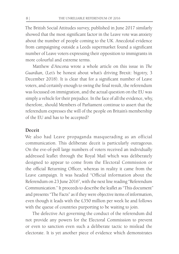The British Social Attitudes survey, published in June 2017 similarly showed that the most significant factor in the Leave vote was anxiety about the number of people coming to the UK. Anecdotal evidence from campaigning outside a Leeds supermarket found a significant number of Leave voters expressing their opposition to immigrants in more colourful and extreme terms.

Matthew d'Ancona wrote a whole article on this issue in *The Guardian,* (Let's be honest about what's driving Brexit: bigotry, 3 December 2018). It is clear that for a significant number of Leave voters, and certainly enough to swing the final result, the referendum was focussed on immigration, and the actual question on the EU was simply a vehicle for their prejudice. In the face of all the evidence, why, therefore, should Members of Parliament continue to assert that the referendum expresses the will of the people on Britain's membership of the EU and has to be accepted?

#### **Deceit**

We also had Leave propaganda masquerading as an official communication. This deliberate deceit is particularly outrageous. On the eve-of-poll large numbers of voters received an individually addressed leaflet through the Royal Mail which was deliberately designed to appear to come from the Electoral Commission or the official Returning Officer, whereas in reality it came from the Leave campaign. It was headed "Official information about the Referendum on 23 June 2016", with the next line reading "Referendum Communication." It proceeds to describe the leaflet as "This document" and presents "The Facts" as if they were objective items of information, even though it leads with the £350 million per week lie and follows with the queue of countries purporting to be waiting to join.

The defective Act governing the conduct of the referendum did not provide any powers for the Electoral Commission to prevent or even to sanction even such a deliberate tactic to mislead the electorate. It is yet another piece of evidence which demonstrates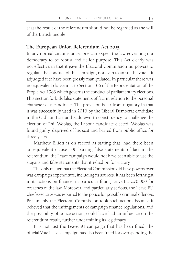that the result of the referendum should not be regarded as the will of the British people.

# **The European Union Referendum Act 2015**

In any normal circumstances one can expect the law governing our democracy to be robust and fit for purpose. This Act clearly was not effective in that it gave the Electoral Commission no powers to regulate the conduct of the campaign, nor even to annul the vote if it adjudged it to have been grossly manipulated. In particular there was no equivalent clause in it to Section 106 of the Representation of the People Act 1983 which governs the conduct of parliamentary elections. This section forbids false statements of fact in relation to the personal character of a candidate. The provision is far from nugatory in that it was successfully used in 2010 by the Liberal Democrat candidate in the Oldham East and Saddleworth constituency to challenge the election of Phil Woolas, the Labour candidate elected. Woolas was found guilty, deprived of his seat and barred from public office for three years.

Matthew Elliott is on record as stating that, had there been an equivalent clause 106 barring false statements of fact in the referendum, the Leave campaign would not have been able to use the slogans and false statements that it relied on for victory.

The only matter that the Electoral Commission did have powers over was campaign expenditure, including its sources. It has been forthright in its actions on finance, in particular fining Leave.EU  $£70,000$  for breaches of the law. Moreover, and particularly serious, the Leave.EU chief executive was reported to the police for possible criminal offences. Presumably the Electoral Commission took such actions because it believed that the infringements of campaign finance regulations, and the possibility of police action, could have had an influence on the referendum result, further undermining its legitimacy.

It is not just the Leave.EU campaign that has been fined: the official Vote Leave campaign has also been fined for overspending the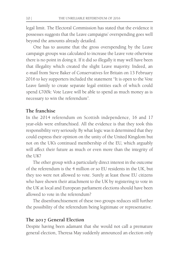legal limit. The Electoral Commission has stated that the evidence it possesses suggests that the Leave campaigns' overspending goes well beyond the amounts already detailed.

One has to assume that the gross overspending by the Leave campaign groups was calculated to increase the Leave vote otherwise there is no point in doing it. If it did so illegally it may well have been that illegality which created the slight Leave majority. Indeed, an e-mail from Steve Baker of Conservatives for Britain on 13 February 2016 to key supporters included the statement "It is open to the Vote Leave family to create separate legal entities each of which could spend £700k: Vote Leave will be able to spend as much money as is necessary to win the referendum".

# **The franchise**

In the 2014 referendum on Scottish independence, 16 and 17 year-olds were enfranchised. All the evidence is that they took this responsibility very seriously. By what logic was it determined that they could express their opinion on the unity of the United Kingdom but not on the UK's continued membership of the EU, which arguably will affect their future as much or even more than the integrity of the UK?

The other group with a particularly direct interest in the outcome of the referendum is the 4 million or so EU residents in the UK, but they too were not allowed to vote. Surely at least those EU citizens who have shown their attachment to the UK by registering to vote in the UK at local and European parliament elections should have been allowed to vote in the referendum?

The disenfranchisement of these two groups reduces still further the possibility of the referendum being legitimate or representative.

#### **The 2017 General Election**

Despite having been adamant that she would not call a premature general election, Theresa May suddenly announced an election only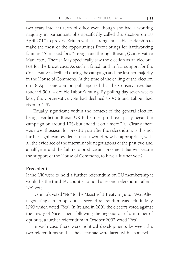two years into her term of office even though she had a working majority in parliament. She specifically called the election on 18 April 2017 to provide Britain with "a strong and stable leadership to make the most of the opportunities Brexit brings for hardworking families." She asked for a "strong hand through Brexit", (Conservative Manifesto.) Theresa May specifically saw the election as an electoral test for the Brexit case. As such it failed, and in fact support for the Conservatives declined during the campaign and she lost her majority in the House of Commons. At the time of the calling of the election on 18 April one opinion poll reported that the Conservatives had touched 50% – double Labour's rating. By polling day seven weeks later, the Conservative vote had declined to 43% and Labour had risen to 41%.

Equally significant within the context of the general election being a verdict on Brexit, UKIP, the most pro-Brexit party, began the campaign on around 10% but ended it on a mere 2%. Clearly there was no enthusiasm for Brexit a year after the referendum. Is this not further significant evidence that it would now be appropriate, with all the evidence of the interminable negotiations of the past two and a half years and the failure to produce an agreement that will secure the support of the House of Commons, to have a further vote?

#### **Precedent**

If the UK were to hold a further referendum on EU membership it would be the third EU country to hold a second referendum after a "No" vote.

Denmark voted "No" to the Maastricht Treaty in June 1992. After negotiating certain opt outs, a second referendum was held in May 1993 which voted "Yes". In Ireland in 2001 the electors voted against the Treaty of Nice. Then, following the negotiation of a number of opt outs, a further referendum in October 2002 voted "Yes".

In each case there were political developments between the two referendums so that the electorate were faced with a somewhat